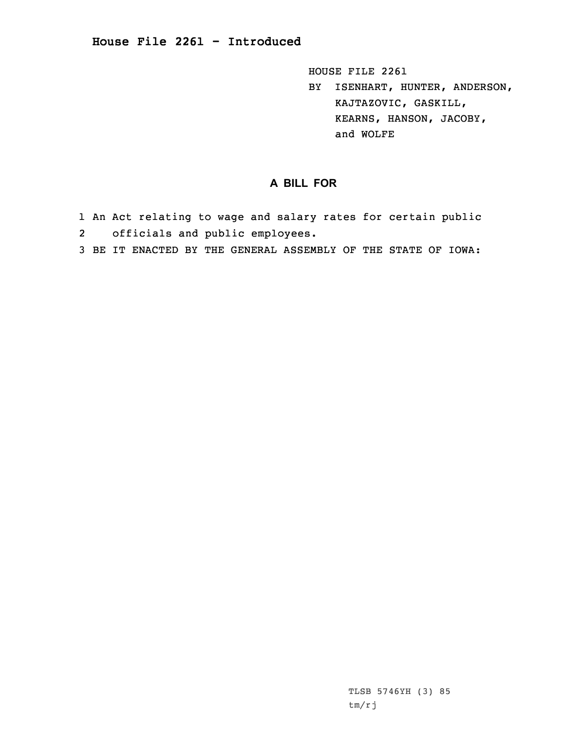HOUSE FILE 2261

BY ISENHART, HUNTER, ANDERSON, KAJTAZOVIC, GASKILL, KEARNS, HANSON, JACOBY, and WOLFE

## **A BILL FOR**

- 1 An Act relating to wage and salary rates for certain public 2officials and public employees.
- 3 BE IT ENACTED BY THE GENERAL ASSEMBLY OF THE STATE OF IOWA: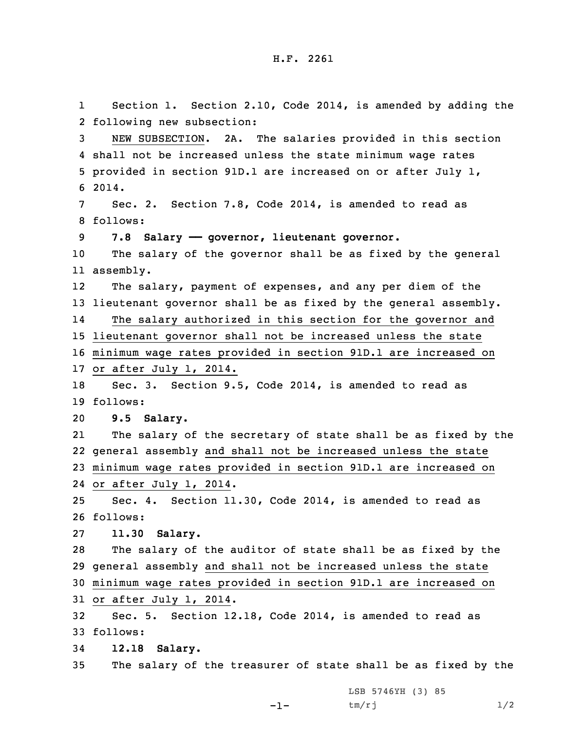1 Section 1. Section 2.10, Code 2014, is amended by adding the following new subsection: NEW SUBSECTION. 2A. The salaries provided in this section shall not be increased unless the state minimum wage rates provided in section 91D.1 are increased on or after July 1, 6 2014. Sec. 2. Section 7.8, Code 2014, is amended to read as 8 follows: **7.8 Salary —— governor, lieutenant governor.** The salary of the governor shall be as fixed by the general assembly. 12 The salary, payment of expenses, and any per diem of the lieutenant governor shall be as fixed by the general assembly. 14 The salary authorized in this section for the governor and lieutenant governor shall not be increased unless the state minimum wage rates provided in section 91D.1 are increased on or after July 1, 2014. Sec. 3. Section 9.5, Code 2014, is amended to read as 19 follows: **9.5 Salary.** 21 The salary of the secretary of state shall be as fixed by the general assembly and shall not be increased unless the state minimum wage rates provided in section 91D.1 are increased on or after July 1, 2014. Sec. 4. Section 11.30, Code 2014, is amended to read as 26 follows: **11.30 Salary.** The salary of the auditor of state shall be as fixed by the general assembly and shall not be increased unless the state minimum wage rates provided in section 91D.1 are increased on or after July 1, 2014. Sec. 5. Section 12.18, Code 2014, is amended to read as 33 follows: **12.18 Salary.** The salary of the treasurer of state shall be as fixed by the LSB 5746YH (3) 85

-1-

 $tm/rj$   $1/2$